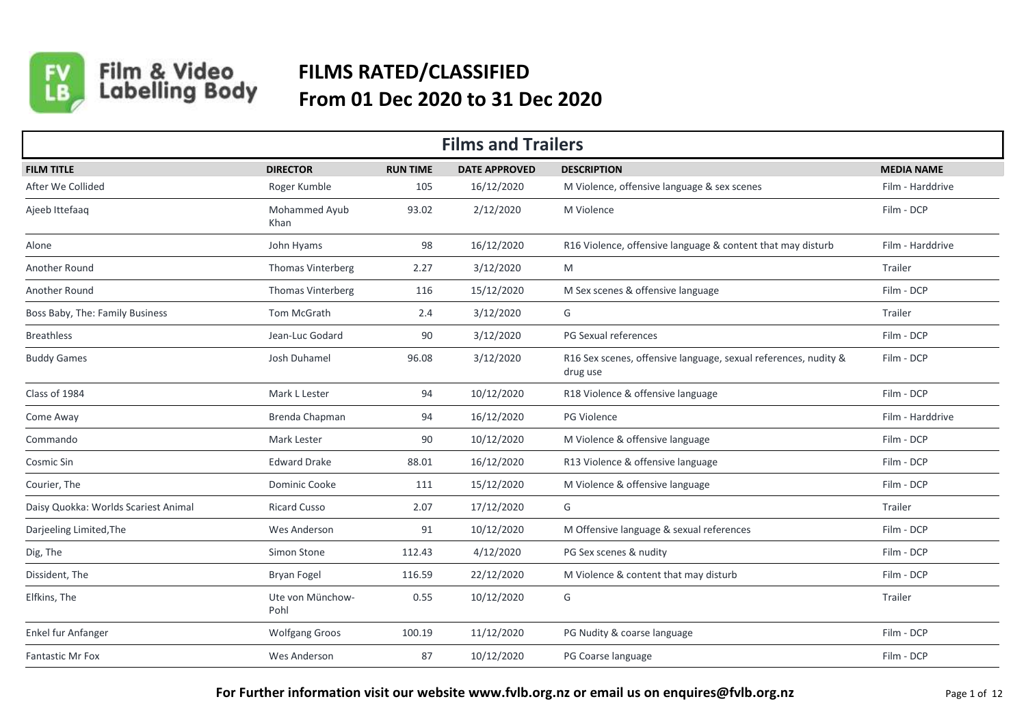

Film & Video<br>Labelling Body

## **FILMS RATED/CLASSIFIED From 01 Dec 2020 to 31 Dec 2020**

| <b>Films and Trailers</b>            |                          |                 |                      |                                                                             |                   |  |  |  |
|--------------------------------------|--------------------------|-----------------|----------------------|-----------------------------------------------------------------------------|-------------------|--|--|--|
| <b>FILM TITLE</b>                    | <b>DIRECTOR</b>          | <b>RUN TIME</b> | <b>DATE APPROVED</b> | <b>DESCRIPTION</b>                                                          | <b>MEDIA NAME</b> |  |  |  |
| After We Collided                    | Roger Kumble             | 105             | 16/12/2020           | M Violence, offensive language & sex scenes                                 | Film - Harddrive  |  |  |  |
| Ajeeb Ittefaag                       | Mohammed Ayub<br>Khan    | 93.02           | 2/12/2020            | M Violence                                                                  | Film - DCP        |  |  |  |
| Alone                                | John Hyams               | 98              | 16/12/2020           | R16 Violence, offensive language & content that may disturb                 | Film - Harddrive  |  |  |  |
| Another Round                        | Thomas Vinterberg        | 2.27            | 3/12/2020            | M                                                                           | Trailer           |  |  |  |
| Another Round                        | Thomas Vinterberg        | 116             | 15/12/2020           | M Sex scenes & offensive language                                           | Film - DCP        |  |  |  |
| Boss Baby, The: Family Business      | Tom McGrath              | 2.4             | 3/12/2020            | G                                                                           | Trailer           |  |  |  |
| <b>Breathless</b>                    | Jean-Luc Godard          | 90              | 3/12/2020            | PG Sexual references                                                        | Film - DCP        |  |  |  |
| <b>Buddy Games</b>                   | Josh Duhamel             | 96.08           | 3/12/2020            | R16 Sex scenes, offensive language, sexual references, nudity &<br>drug use | Film - DCP        |  |  |  |
| Class of 1984                        | Mark L Lester            | 94              | 10/12/2020           | R18 Violence & offensive language                                           | Film - DCP        |  |  |  |
| Come Away                            | Brenda Chapman           | 94              | 16/12/2020           | PG Violence                                                                 | Film - Harddrive  |  |  |  |
| Commando                             | Mark Lester              | 90              | 10/12/2020           | M Violence & offensive language                                             | Film - DCP        |  |  |  |
| Cosmic Sin                           | <b>Edward Drake</b>      | 88.01           | 16/12/2020           | R13 Violence & offensive language                                           | Film - DCP        |  |  |  |
| Courier, The                         | Dominic Cooke            | 111             | 15/12/2020           | M Violence & offensive language                                             | Film - DCP        |  |  |  |
| Daisy Quokka: Worlds Scariest Animal | <b>Ricard Cusso</b>      | 2.07            | 17/12/2020           | G                                                                           | Trailer           |  |  |  |
| Darjeeling Limited, The              | Wes Anderson             | 91              | 10/12/2020           | M Offensive language & sexual references                                    | Film - DCP        |  |  |  |
| Dig, The                             | Simon Stone              | 112.43          | 4/12/2020            | PG Sex scenes & nudity                                                      | Film - DCP        |  |  |  |
| Dissident, The                       | Bryan Fogel              | 116.59          | 22/12/2020           | M Violence & content that may disturb                                       | Film - DCP        |  |  |  |
| Elfkins, The                         | Ute von Münchow-<br>Pohl | 0.55            | 10/12/2020           | G                                                                           | Trailer           |  |  |  |
| Enkel fur Anfanger                   | <b>Wolfgang Groos</b>    | 100.19          | 11/12/2020           | PG Nudity & coarse language                                                 | Film - DCP        |  |  |  |
| <b>Fantastic Mr Fox</b>              | Wes Anderson             | 87              | 10/12/2020           | PG Coarse language                                                          | Film - DCP        |  |  |  |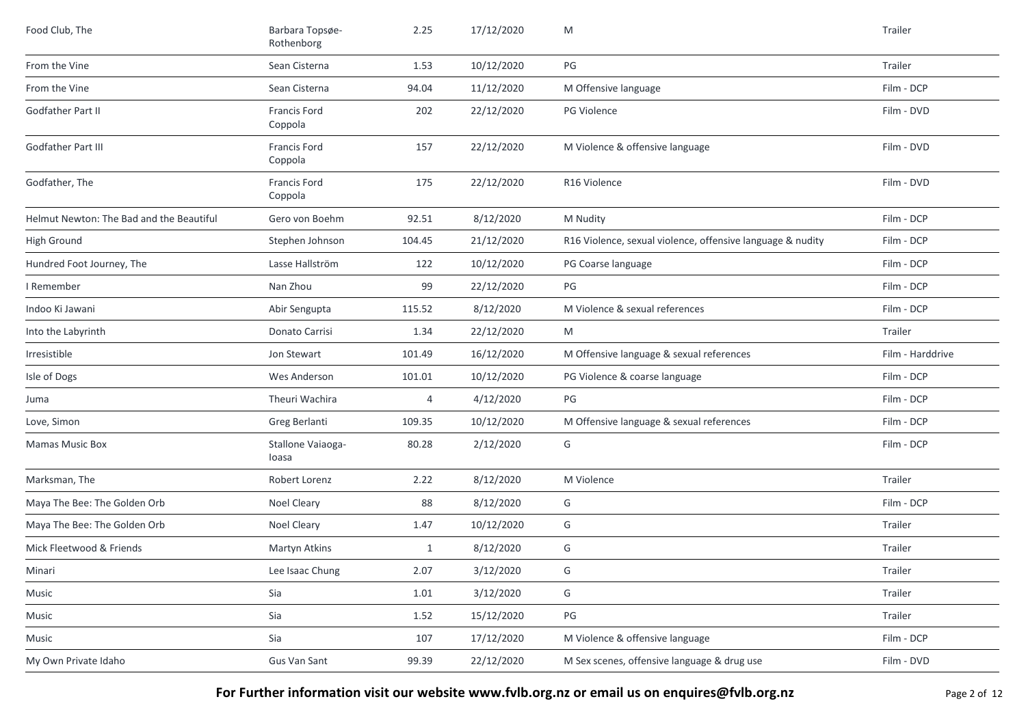| Food Club, The                           | Barbara Topsøe-<br>Rothenborg | 2.25         | 17/12/2020 | M                                                          | Trailer          |
|------------------------------------------|-------------------------------|--------------|------------|------------------------------------------------------------|------------------|
| From the Vine                            | Sean Cisterna                 | 1.53         | 10/12/2020 | PG                                                         | Trailer          |
| From the Vine                            | Sean Cisterna                 | 94.04        | 11/12/2020 | M Offensive language                                       | Film - DCP       |
| <b>Godfather Part II</b>                 | Francis Ford<br>Coppola       | 202          | 22/12/2020 | PG Violence                                                | Film - DVD       |
| Godfather Part III                       | Francis Ford<br>Coppola       | 157          | 22/12/2020 | M Violence & offensive language                            | Film - DVD       |
| Godfather, The                           | Francis Ford<br>Coppola       | 175          | 22/12/2020 | R16 Violence                                               | Film - DVD       |
| Helmut Newton: The Bad and the Beautiful | Gero von Boehm                | 92.51        | 8/12/2020  | M Nudity                                                   | Film - DCP       |
| <b>High Ground</b>                       | Stephen Johnson               | 104.45       | 21/12/2020 | R16 Violence, sexual violence, offensive language & nudity | Film - DCP       |
| Hundred Foot Journey, The                | Lasse Hallström               | 122          | 10/12/2020 | PG Coarse language                                         | Film - DCP       |
| I Remember                               | Nan Zhou                      | 99           | 22/12/2020 | PG                                                         | Film - DCP       |
| Indoo Ki Jawani                          | Abir Sengupta                 | 115.52       | 8/12/2020  | M Violence & sexual references                             | Film - DCP       |
| Into the Labyrinth                       | Donato Carrisi                | 1.34         | 22/12/2020 | M                                                          | Trailer          |
| Irresistible                             | Jon Stewart                   | 101.49       | 16/12/2020 | M Offensive language & sexual references                   | Film - Harddrive |
| Isle of Dogs                             | Wes Anderson                  | 101.01       | 10/12/2020 | PG Violence & coarse language                              | Film - DCP       |
| Juma                                     | Theuri Wachira                | 4            | 4/12/2020  | PG                                                         | Film - DCP       |
| Love, Simon                              | Greg Berlanti                 | 109.35       | 10/12/2020 | M Offensive language & sexual references                   | Film - DCP       |
| Mamas Music Box                          | Stallone Vaiaoga-<br>loasa    | 80.28        | 2/12/2020  | G                                                          | Film - DCP       |
| Marksman, The                            | Robert Lorenz                 | 2.22         | 8/12/2020  | M Violence                                                 | Trailer          |
| Maya The Bee: The Golden Orb             | Noel Cleary                   | 88           | 8/12/2020  | G                                                          | Film - DCP       |
| Maya The Bee: The Golden Orb             | Noel Cleary                   | 1.47         | 10/12/2020 | G                                                          | Trailer          |
| Mick Fleetwood & Friends                 | Martyn Atkins                 | $\mathbf{1}$ | 8/12/2020  | G                                                          | Trailer          |
| Minari                                   | Lee Isaac Chung               | 2.07         | 3/12/2020  | G                                                          | Trailer          |
| Music                                    | Sia                           | 1.01         | 3/12/2020  | G                                                          | Trailer          |
| Music                                    | Sia                           | 1.52         | 15/12/2020 | PG                                                         | Trailer          |
| Music                                    | Sia                           | 107          | 17/12/2020 | M Violence & offensive language                            | Film - DCP       |
| My Own Private Idaho                     | Gus Van Sant                  | 99.39        | 22/12/2020 | M Sex scenes, offensive language & drug use                | Film - DVD       |

For Further information visit our website www.fvlb.org.nz or email us on enquires@fvlb.org.nz<br>Page 2 of 12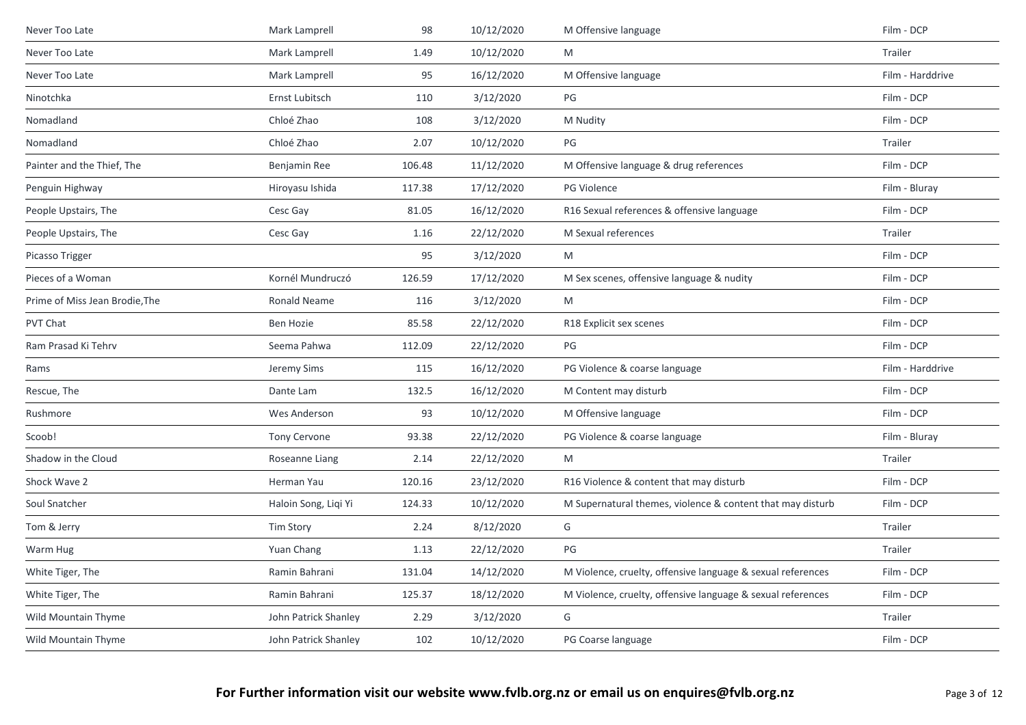| Never Too Late                 | Mark Lamprell        | 98     | 10/12/2020 | M Offensive language                                        | Film - DCP       |
|--------------------------------|----------------------|--------|------------|-------------------------------------------------------------|------------------|
| Never Too Late                 | Mark Lamprell        | 1.49   | 10/12/2020 | M                                                           | Trailer          |
| Never Too Late                 | Mark Lamprell        | 95     | 16/12/2020 | M Offensive language                                        | Film - Harddrive |
| Ninotchka                      | Ernst Lubitsch       | 110    | 3/12/2020  | PG                                                          | Film - DCP       |
| Nomadland                      | Chloé Zhao           | 108    | 3/12/2020  | M Nudity                                                    | Film - DCP       |
| Nomadland                      | Chloé Zhao           | 2.07   | 10/12/2020 | PG                                                          | Trailer          |
| Painter and the Thief, The     | Benjamin Ree         | 106.48 | 11/12/2020 | M Offensive language & drug references                      | Film - DCP       |
| Penguin Highway                | Hiroyasu Ishida      | 117.38 | 17/12/2020 | <b>PG Violence</b>                                          | Film - Bluray    |
| People Upstairs, The           | Cesc Gay             | 81.05  | 16/12/2020 | R16 Sexual references & offensive language                  | Film - DCP       |
| People Upstairs, The           | Cesc Gay             | 1.16   | 22/12/2020 | M Sexual references                                         | Trailer          |
| Picasso Trigger                |                      | 95     | 3/12/2020  | M                                                           | Film - DCP       |
| Pieces of a Woman              | Kornél Mundruczó     | 126.59 | 17/12/2020 | M Sex scenes, offensive language & nudity                   | Film - DCP       |
| Prime of Miss Jean Brodie, The | Ronald Neame         | 116    | 3/12/2020  | M                                                           | Film - DCP       |
| PVT Chat                       | Ben Hozie            | 85.58  | 22/12/2020 | R18 Explicit sex scenes                                     | Film - DCP       |
| Ram Prasad Ki Tehrv            | Seema Pahwa          | 112.09 | 22/12/2020 | PG                                                          | Film - DCP       |
| Rams                           | Jeremy Sims          | 115    | 16/12/2020 | PG Violence & coarse language                               | Film - Harddrive |
| Rescue, The                    | Dante Lam            | 132.5  | 16/12/2020 | M Content may disturb                                       | Film - DCP       |
| Rushmore                       | Wes Anderson         | 93     | 10/12/2020 | M Offensive language                                        | Film - DCP       |
| Scoob!                         | <b>Tony Cervone</b>  | 93.38  | 22/12/2020 | PG Violence & coarse language                               | Film - Bluray    |
| Shadow in the Cloud            | Roseanne Liang       | 2.14   | 22/12/2020 | M                                                           | Trailer          |
| Shock Wave 2                   | Herman Yau           | 120.16 | 23/12/2020 | R16 Violence & content that may disturb                     | Film - DCP       |
| Soul Snatcher                  | Haloin Song, Liqi Yi | 124.33 | 10/12/2020 | M Supernatural themes, violence & content that may disturb  | Film - DCP       |
| Tom & Jerry                    | Tim Story            | 2.24   | 8/12/2020  | G                                                           | Trailer          |
| Warm Hug                       | Yuan Chang           | 1.13   | 22/12/2020 | PG                                                          | Trailer          |
| White Tiger, The               | Ramin Bahrani        | 131.04 | 14/12/2020 | M Violence, cruelty, offensive language & sexual references | Film - DCP       |
| White Tiger, The               | Ramin Bahrani        | 125.37 | 18/12/2020 | M Violence, cruelty, offensive language & sexual references | Film - DCP       |
| Wild Mountain Thyme            | John Patrick Shanley | 2.29   | 3/12/2020  | G                                                           | Trailer          |
| Wild Mountain Thyme            | John Patrick Shanley | 102    | 10/12/2020 | PG Coarse language                                          | Film - DCP       |
|                                |                      |        |            |                                                             |                  |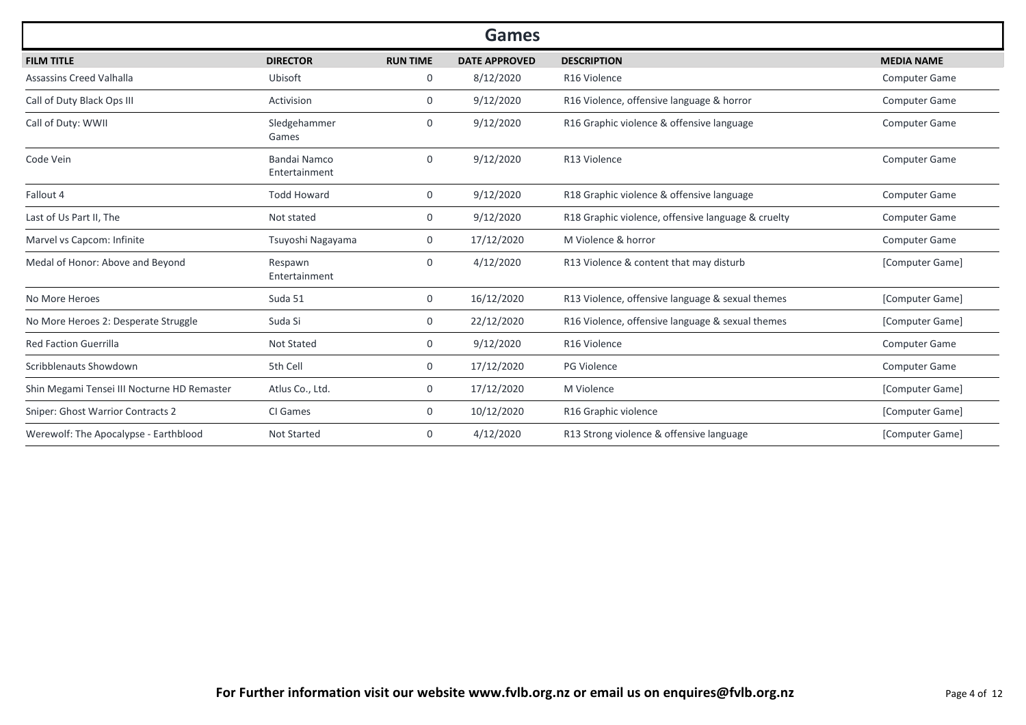|                                             |                                      |                 | <b>Games</b>         |                                                    |                      |
|---------------------------------------------|--------------------------------------|-----------------|----------------------|----------------------------------------------------|----------------------|
| <b>FILM TITLE</b>                           | <b>DIRECTOR</b>                      | <b>RUN TIME</b> | <b>DATE APPROVED</b> | <b>DESCRIPTION</b>                                 | <b>MEDIA NAME</b>    |
| Assassins Creed Valhalla                    | Ubisoft                              | 0               | 8/12/2020            | R <sub>16</sub> Violence                           | <b>Computer Game</b> |
| Call of Duty Black Ops III                  | Activision                           | $\mathbf{0}$    | 9/12/2020            | R16 Violence, offensive language & horror          | <b>Computer Game</b> |
| Call of Duty: WWII                          | Sledgehammer<br>Games                | 0               | 9/12/2020            | R16 Graphic violence & offensive language          | Computer Game        |
| Code Vein                                   | <b>Bandai Namco</b><br>Entertainment | $\overline{0}$  | 9/12/2020            | R13 Violence                                       | Computer Game        |
| Fallout 4                                   | <b>Todd Howard</b>                   | 0               | 9/12/2020            | R18 Graphic violence & offensive language          | <b>Computer Game</b> |
| Last of Us Part II, The                     | Not stated                           | 0               | 9/12/2020            | R18 Graphic violence, offensive language & cruelty | <b>Computer Game</b> |
| Marvel vs Capcom: Infinite                  | Tsuyoshi Nagayama                    | 0               | 17/12/2020           | M Violence & horror                                | <b>Computer Game</b> |
| Medal of Honor: Above and Beyond            | Respawn<br>Entertainment             | $\overline{0}$  | 4/12/2020            | R13 Violence & content that may disturb            | [Computer Game]      |
| No More Heroes                              | Suda 51                              | 0               | 16/12/2020           | R13 Violence, offensive language & sexual themes   | [Computer Game]      |
| No More Heroes 2: Desperate Struggle        | Suda Si                              | 0               | 22/12/2020           | R16 Violence, offensive language & sexual themes   | [Computer Game]      |
| <b>Red Faction Guerrilla</b>                | <b>Not Stated</b>                    | 0               | 9/12/2020            | R16 Violence                                       | <b>Computer Game</b> |
| Scribblenauts Showdown                      | 5th Cell                             | 0               | 17/12/2020           | <b>PG Violence</b>                                 | Computer Game        |
| Shin Megami Tensei III Nocturne HD Remaster | Atlus Co., Ltd.                      | 0               | 17/12/2020           | M Violence                                         | [Computer Game]      |
| Sniper: Ghost Warrior Contracts 2           | CI Games                             | 0               | 10/12/2020           | R16 Graphic violence                               | [Computer Game]      |
| Werewolf: The Apocalypse - Earthblood       | Not Started                          | 0               | 4/12/2020            | R13 Strong violence & offensive language           | [Computer Game]      |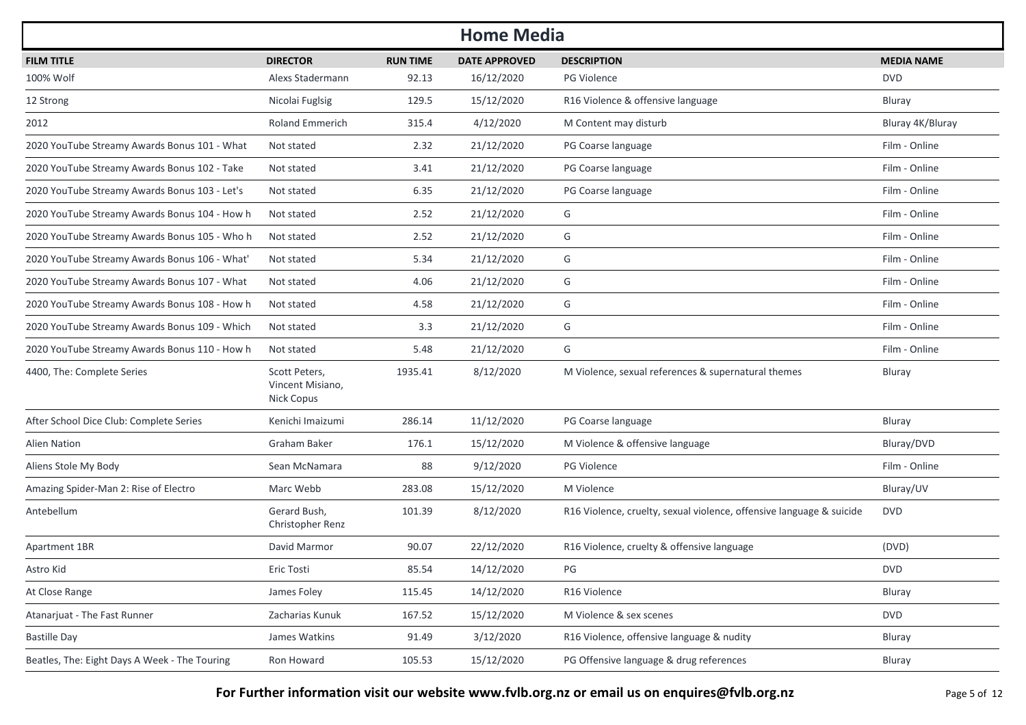| <b>Home Media</b>                             |                                                 |                 |                      |                                                                      |                   |  |  |  |
|-----------------------------------------------|-------------------------------------------------|-----------------|----------------------|----------------------------------------------------------------------|-------------------|--|--|--|
| <b>FILM TITLE</b>                             | <b>DIRECTOR</b>                                 | <b>RUN TIME</b> | <b>DATE APPROVED</b> | <b>DESCRIPTION</b>                                                   | <b>MEDIA NAME</b> |  |  |  |
| 100% Wolf                                     | Alexs Stadermann                                | 92.13           | 16/12/2020           | PG Violence                                                          | <b>DVD</b>        |  |  |  |
| 12 Strong                                     | Nicolai Fuglsig                                 | 129.5           | 15/12/2020           | R16 Violence & offensive language                                    | Bluray            |  |  |  |
| 2012                                          | <b>Roland Emmerich</b>                          | 315.4           | 4/12/2020            | M Content may disturb                                                | Bluray 4K/Bluray  |  |  |  |
| 2020 YouTube Streamy Awards Bonus 101 - What  | Not stated                                      | 2.32            | 21/12/2020           | PG Coarse language                                                   | Film - Online     |  |  |  |
| 2020 YouTube Streamy Awards Bonus 102 - Take  | Not stated                                      | 3.41            | 21/12/2020           | PG Coarse language                                                   | Film - Online     |  |  |  |
| 2020 YouTube Streamy Awards Bonus 103 - Let's | Not stated                                      | 6.35            | 21/12/2020           | PG Coarse language                                                   | Film - Online     |  |  |  |
| 2020 YouTube Streamy Awards Bonus 104 - How h | Not stated                                      | 2.52            | 21/12/2020           | G                                                                    | Film - Online     |  |  |  |
| 2020 YouTube Streamy Awards Bonus 105 - Who h | Not stated                                      | 2.52            | 21/12/2020           | G                                                                    | Film - Online     |  |  |  |
| 2020 YouTube Streamy Awards Bonus 106 - What' | Not stated                                      | 5.34            | 21/12/2020           | G                                                                    | Film - Online     |  |  |  |
| 2020 YouTube Streamy Awards Bonus 107 - What  | Not stated                                      | 4.06            | 21/12/2020           | G                                                                    | Film - Online     |  |  |  |
| 2020 YouTube Streamy Awards Bonus 108 - How h | Not stated                                      | 4.58            | 21/12/2020           | G                                                                    | Film - Online     |  |  |  |
| 2020 YouTube Streamy Awards Bonus 109 - Which | Not stated                                      | 3.3             | 21/12/2020           | G                                                                    | Film - Online     |  |  |  |
| 2020 YouTube Streamy Awards Bonus 110 - How h | Not stated                                      | 5.48            | 21/12/2020           | G                                                                    | Film - Online     |  |  |  |
| 4400, The: Complete Series                    | Scott Peters,<br>Vincent Misiano,<br>Nick Copus | 1935.41         | 8/12/2020            | M Violence, sexual references & supernatural themes                  | Bluray            |  |  |  |
| After School Dice Club: Complete Series       | Kenichi Imaizumi                                | 286.14          | 11/12/2020           | PG Coarse language                                                   | Bluray            |  |  |  |
| <b>Alien Nation</b>                           | <b>Graham Baker</b>                             | 176.1           | 15/12/2020           | M Violence & offensive language                                      | Bluray/DVD        |  |  |  |
| Aliens Stole My Body                          | Sean McNamara                                   | 88              | 9/12/2020            | <b>PG Violence</b>                                                   | Film - Online     |  |  |  |
| Amazing Spider-Man 2: Rise of Electro         | Marc Webb                                       | 283.08          | 15/12/2020           | M Violence                                                           | Bluray/UV         |  |  |  |
| Antebellum                                    | Gerard Bush,<br>Christopher Renz                | 101.39          | 8/12/2020            | R16 Violence, cruelty, sexual violence, offensive language & suicide | <b>DVD</b>        |  |  |  |
| Apartment 1BR                                 | David Marmor                                    | 90.07           | 22/12/2020           | R16 Violence, cruelty & offensive language                           | (DVD)             |  |  |  |
| Astro Kid                                     | Eric Tosti                                      | 85.54           | 14/12/2020           | PG                                                                   | <b>DVD</b>        |  |  |  |
| At Close Range                                | James Foley                                     | 115.45          | 14/12/2020           | R16 Violence                                                         | Bluray            |  |  |  |
| Atanarjuat - The Fast Runner                  | Zacharias Kunuk                                 | 167.52          | 15/12/2020           | M Violence & sex scenes                                              | <b>DVD</b>        |  |  |  |
| <b>Bastille Day</b>                           | James Watkins                                   | 91.49           | 3/12/2020            | R16 Violence, offensive language & nudity                            | Bluray            |  |  |  |
| Beatles, The: Eight Days A Week - The Touring | Ron Howard                                      | 105.53          | 15/12/2020           | PG Offensive language & drug references                              | Bluray            |  |  |  |

**For Further information visit our website www.fvlb.org.nz or email us on enquires@fvlb.org.nz** Page 5 of 12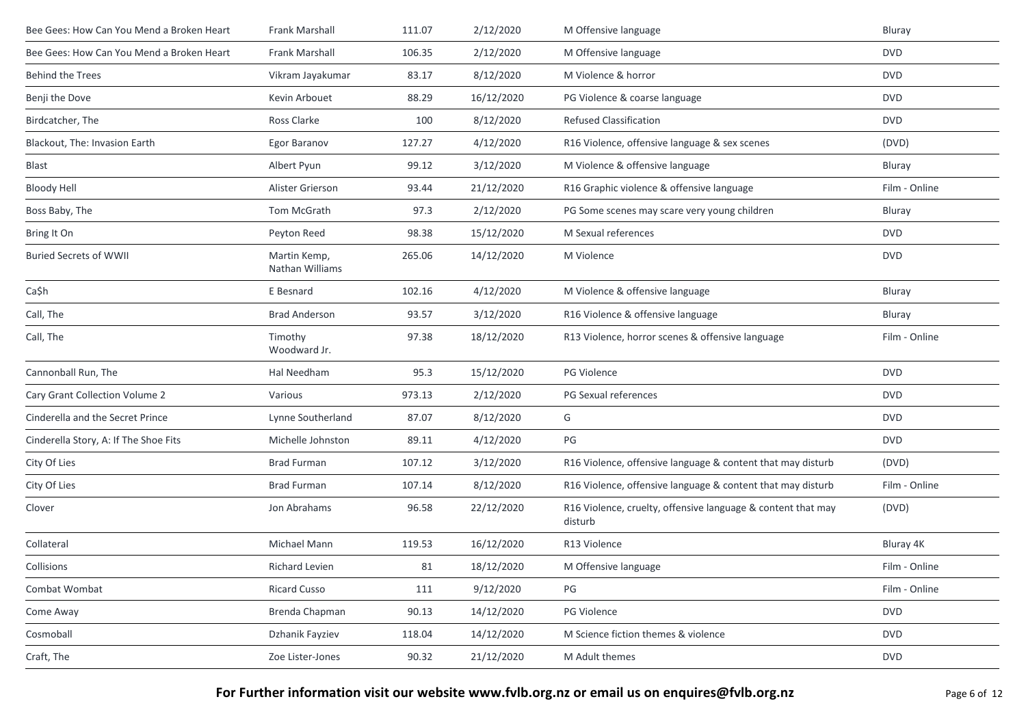| Bee Gees: How Can You Mend a Broken Heart | Frank Marshall                  | 111.07 | 2/12/2020  | M Offensive language                                                    | Bluray        |
|-------------------------------------------|---------------------------------|--------|------------|-------------------------------------------------------------------------|---------------|
| Bee Gees: How Can You Mend a Broken Heart | Frank Marshall                  | 106.35 | 2/12/2020  | M Offensive language                                                    | <b>DVD</b>    |
| <b>Behind the Trees</b>                   | Vikram Jayakumar                | 83.17  | 8/12/2020  | M Violence & horror                                                     | <b>DVD</b>    |
| Benji the Dove                            | Kevin Arbouet                   | 88.29  | 16/12/2020 | PG Violence & coarse language                                           | <b>DVD</b>    |
| Birdcatcher, The                          | Ross Clarke                     | 100    | 8/12/2020  | <b>Refused Classification</b>                                           | <b>DVD</b>    |
| Blackout, The: Invasion Earth             | Egor Baranov                    | 127.27 | 4/12/2020  | R16 Violence, offensive language & sex scenes                           | (DVD)         |
| Blast                                     | Albert Pyun                     | 99.12  | 3/12/2020  | M Violence & offensive language                                         | Bluray        |
| <b>Bloody Hell</b>                        | Alister Grierson                | 93.44  | 21/12/2020 | R16 Graphic violence & offensive language                               | Film - Online |
| Boss Baby, The                            | Tom McGrath                     | 97.3   | 2/12/2020  | PG Some scenes may scare very young children                            | Bluray        |
| Bring It On                               | Peyton Reed                     | 98.38  | 15/12/2020 | M Sexual references                                                     | <b>DVD</b>    |
| <b>Buried Secrets of WWII</b>             | Martin Kemp,<br>Nathan Williams | 265.06 | 14/12/2020 | M Violence                                                              | <b>DVD</b>    |
| Ca\$h                                     | E Besnard                       | 102.16 | 4/12/2020  | M Violence & offensive language                                         | Bluray        |
| Call, The                                 | <b>Brad Anderson</b>            | 93.57  | 3/12/2020  | R16 Violence & offensive language                                       | Bluray        |
| Call, The                                 | Timothy<br>Woodward Jr.         | 97.38  | 18/12/2020 | R13 Violence, horror scenes & offensive language                        | Film - Online |
| Cannonball Run, The                       | Hal Needham                     | 95.3   | 15/12/2020 | PG Violence                                                             | <b>DVD</b>    |
| Cary Grant Collection Volume 2            | Various                         | 973.13 | 2/12/2020  | PG Sexual references                                                    | <b>DVD</b>    |
| Cinderella and the Secret Prince          | Lynne Southerland               | 87.07  | 8/12/2020  | G                                                                       | <b>DVD</b>    |
| Cinderella Story, A: If The Shoe Fits     | Michelle Johnston               | 89.11  | 4/12/2020  | PG                                                                      | <b>DVD</b>    |
| City Of Lies                              | <b>Brad Furman</b>              | 107.12 | 3/12/2020  | R16 Violence, offensive language & content that may disturb             | (DVD)         |
| City Of Lies                              | <b>Brad Furman</b>              | 107.14 | 8/12/2020  | R16 Violence, offensive language & content that may disturb             | Film - Online |
| Clover                                    | Jon Abrahams                    | 96.58  | 22/12/2020 | R16 Violence, cruelty, offensive language & content that may<br>disturb | (DVD)         |
| Collateral                                | Michael Mann                    | 119.53 | 16/12/2020 | R13 Violence                                                            | Bluray 4K     |
| Collisions                                | <b>Richard Levien</b>           | 81     | 18/12/2020 | M Offensive language                                                    | Film - Online |
| Combat Wombat                             | <b>Ricard Cusso</b>             | 111    | 9/12/2020  | PG                                                                      | Film - Online |
| Come Away                                 | Brenda Chapman                  | 90.13  | 14/12/2020 | PG Violence                                                             | <b>DVD</b>    |
| Cosmoball                                 | Dzhanik Fayziev                 | 118.04 | 14/12/2020 | M Science fiction themes & violence                                     | <b>DVD</b>    |
| Craft, The                                | Zoe Lister-Jones                | 90.32  | 21/12/2020 | M Adult themes                                                          | <b>DVD</b>    |

For Further information visit our website www.fvlb.org.nz or email us on enquires@fvlb.org.nz<br>Page 6 of 12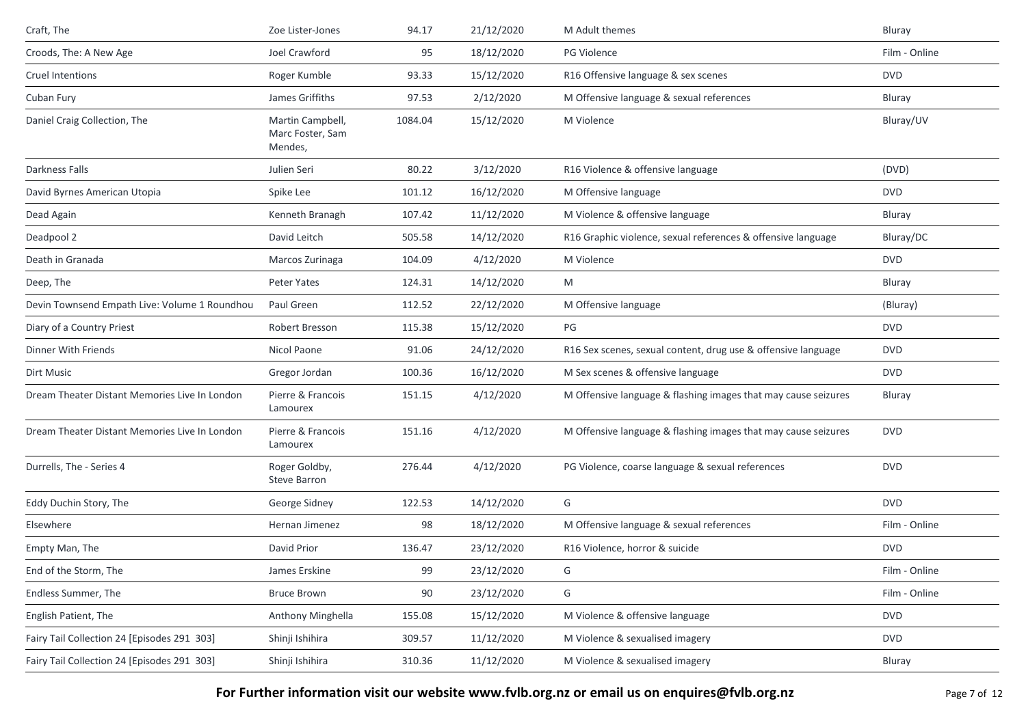| Craft, The                                    | Zoe Lister-Jones                                | 94.17   | 21/12/2020 | M Adult themes                                                 | Bluray        |
|-----------------------------------------------|-------------------------------------------------|---------|------------|----------------------------------------------------------------|---------------|
| Croods, The: A New Age                        | Joel Crawford                                   | 95      | 18/12/2020 | <b>PG Violence</b>                                             | Film - Online |
| Cruel Intentions                              | Roger Kumble                                    | 93.33   | 15/12/2020 | R16 Offensive language & sex scenes                            | <b>DVD</b>    |
| Cuban Fury                                    | James Griffiths                                 | 97.53   | 2/12/2020  | M Offensive language & sexual references                       | Bluray        |
| Daniel Craig Collection, The                  | Martin Campbell,<br>Marc Foster, Sam<br>Mendes, | 1084.04 | 15/12/2020 | M Violence                                                     | Bluray/UV     |
| Darkness Falls                                | Julien Seri                                     | 80.22   | 3/12/2020  | R16 Violence & offensive language                              | (DVD)         |
| David Byrnes American Utopia                  | Spike Lee                                       | 101.12  | 16/12/2020 | M Offensive language                                           | <b>DVD</b>    |
| Dead Again                                    | Kenneth Branagh                                 | 107.42  | 11/12/2020 | M Violence & offensive language                                | Bluray        |
| Deadpool 2                                    | David Leitch                                    | 505.58  | 14/12/2020 | R16 Graphic violence, sexual references & offensive language   | Bluray/DC     |
| Death in Granada                              | Marcos Zurinaga                                 | 104.09  | 4/12/2020  | M Violence                                                     | <b>DVD</b>    |
| Deep, The                                     | <b>Peter Yates</b>                              | 124.31  | 14/12/2020 | M                                                              | Bluray        |
| Devin Townsend Empath Live: Volume 1 Roundhou | Paul Green                                      | 112.52  | 22/12/2020 | M Offensive language                                           | (Bluray)      |
| Diary of a Country Priest                     | Robert Bresson                                  | 115.38  | 15/12/2020 | PG                                                             | <b>DVD</b>    |
| Dinner With Friends                           | Nicol Paone                                     | 91.06   | 24/12/2020 | R16 Sex scenes, sexual content, drug use & offensive language  | <b>DVD</b>    |
| Dirt Music                                    | Gregor Jordan                                   | 100.36  | 16/12/2020 | M Sex scenes & offensive language                              | <b>DVD</b>    |
| Dream Theater Distant Memories Live In London | Pierre & Francois<br>Lamourex                   | 151.15  | 4/12/2020  | M Offensive language & flashing images that may cause seizures | Bluray        |
| Dream Theater Distant Memories Live In London | Pierre & Francois<br>Lamourex                   | 151.16  | 4/12/2020  | M Offensive language & flashing images that may cause seizures | <b>DVD</b>    |
| Durrells, The - Series 4                      | Roger Goldby,<br><b>Steve Barron</b>            | 276.44  | 4/12/2020  | PG Violence, coarse language & sexual references               | <b>DVD</b>    |
| Eddy Duchin Story, The                        | George Sidney                                   | 122.53  | 14/12/2020 | G                                                              | <b>DVD</b>    |
| Elsewhere                                     | Hernan Jimenez                                  | 98      | 18/12/2020 | M Offensive language & sexual references                       | Film - Online |
| Empty Man, The                                | David Prior                                     | 136.47  | 23/12/2020 | R16 Violence, horror & suicide                                 | <b>DVD</b>    |
| End of the Storm, The                         | James Erskine                                   | 99      | 23/12/2020 | G                                                              | Film - Online |
| Endless Summer, The                           | <b>Bruce Brown</b>                              | 90      | 23/12/2020 | G                                                              | Film - Online |
| English Patient, The                          | Anthony Minghella                               | 155.08  | 15/12/2020 | M Violence & offensive language                                | <b>DVD</b>    |
| Fairy Tail Collection 24 [Episodes 291 303]   | Shinji Ishihira                                 | 309.57  | 11/12/2020 | M Violence & sexualised imagery                                | <b>DVD</b>    |
| Fairy Tail Collection 24 [Episodes 291 303]   | Shinji Ishihira                                 | 310.36  | 11/12/2020 | M Violence & sexualised imagery                                | Bluray        |

**For Further information visit our website www.fvlb.org.nz or email us on enquires@fvlb.org.nz** Page 7 of 12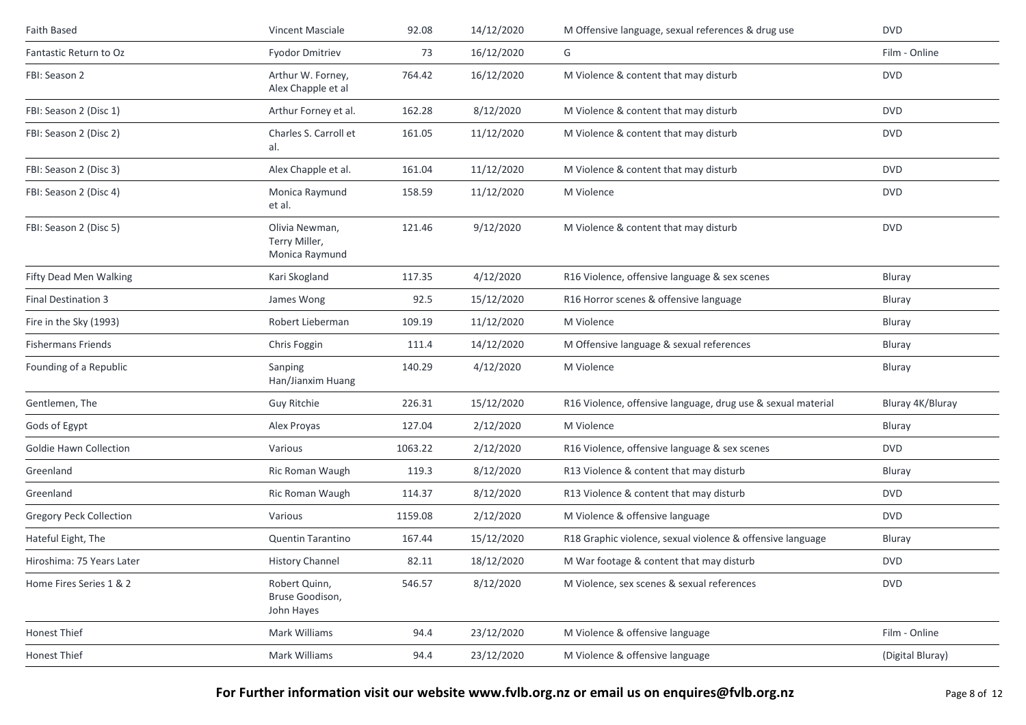| Faith Based                    | <b>Vincent Masciale</b>                           | 92.08   | 14/12/2020 | M Offensive language, sexual references & drug use           | <b>DVD</b>       |
|--------------------------------|---------------------------------------------------|---------|------------|--------------------------------------------------------------|------------------|
| Fantastic Return to Oz         | <b>Fyodor Dmitriev</b>                            | 73      | 16/12/2020 | G                                                            | Film - Online    |
| FBI: Season 2                  | Arthur W. Forney,<br>Alex Chapple et al           | 764.42  | 16/12/2020 | M Violence & content that may disturb                        | <b>DVD</b>       |
| FBI: Season 2 (Disc 1)         | Arthur Forney et al.                              | 162.28  | 8/12/2020  | M Violence & content that may disturb                        | <b>DVD</b>       |
| FBI: Season 2 (Disc 2)         | Charles S. Carroll et<br>al.                      | 161.05  | 11/12/2020 | M Violence & content that may disturb                        | <b>DVD</b>       |
| FBI: Season 2 (Disc 3)         | Alex Chapple et al.                               | 161.04  | 11/12/2020 | M Violence & content that may disturb                        | <b>DVD</b>       |
| FBI: Season 2 (Disc 4)         | Monica Raymund<br>et al.                          | 158.59  | 11/12/2020 | M Violence                                                   | <b>DVD</b>       |
| FBI: Season 2 (Disc 5)         | Olivia Newman,<br>Terry Miller,<br>Monica Raymund | 121.46  | 9/12/2020  | M Violence & content that may disturb                        | <b>DVD</b>       |
| Fifty Dead Men Walking         | Kari Skogland                                     | 117.35  | 4/12/2020  | R16 Violence, offensive language & sex scenes                | Bluray           |
| <b>Final Destination 3</b>     | James Wong                                        | 92.5    | 15/12/2020 | R16 Horror scenes & offensive language                       | Bluray           |
| Fire in the Sky (1993)         | Robert Lieberman                                  | 109.19  | 11/12/2020 | M Violence                                                   | Bluray           |
| <b>Fishermans Friends</b>      | Chris Foggin                                      | 111.4   | 14/12/2020 | M Offensive language & sexual references                     | Bluray           |
| Founding of a Republic         | Sanping<br>Han/Jianxim Huang                      | 140.29  | 4/12/2020  | M Violence                                                   | Bluray           |
| Gentlemen, The                 | Guy Ritchie                                       | 226.31  | 15/12/2020 | R16 Violence, offensive language, drug use & sexual material | Bluray 4K/Bluray |
| Gods of Egypt                  | Alex Proyas                                       | 127.04  | 2/12/2020  | M Violence                                                   | Bluray           |
| Goldie Hawn Collection         | Various                                           | 1063.22 | 2/12/2020  | R16 Violence, offensive language & sex scenes                | <b>DVD</b>       |
| Greenland                      | Ric Roman Waugh                                   | 119.3   | 8/12/2020  | R13 Violence & content that may disturb                      | Bluray           |
| Greenland                      | Ric Roman Waugh                                   | 114.37  | 8/12/2020  | R13 Violence & content that may disturb                      | <b>DVD</b>       |
| <b>Gregory Peck Collection</b> | Various                                           | 1159.08 | 2/12/2020  | M Violence & offensive language                              | <b>DVD</b>       |
| Hateful Eight, The             | <b>Quentin Tarantino</b>                          | 167.44  | 15/12/2020 | R18 Graphic violence, sexual violence & offensive language   | Bluray           |
| Hiroshima: 75 Years Later      | <b>History Channel</b>                            | 82.11   | 18/12/2020 | M War footage & content that may disturb                     | <b>DVD</b>       |
| Home Fires Series 1 & 2        | Robert Quinn,<br>Bruse Goodison,<br>John Hayes    | 546.57  | 8/12/2020  | M Violence, sex scenes & sexual references                   | <b>DVD</b>       |
| <b>Honest Thief</b>            | Mark Williams                                     | 94.4    | 23/12/2020 | M Violence & offensive language                              | Film - Online    |
| Honest Thief                   | Mark Williams                                     | 94.4    | 23/12/2020 | M Violence & offensive language                              | (Digital Bluray) |
|                                |                                                   |         |            |                                                              |                  |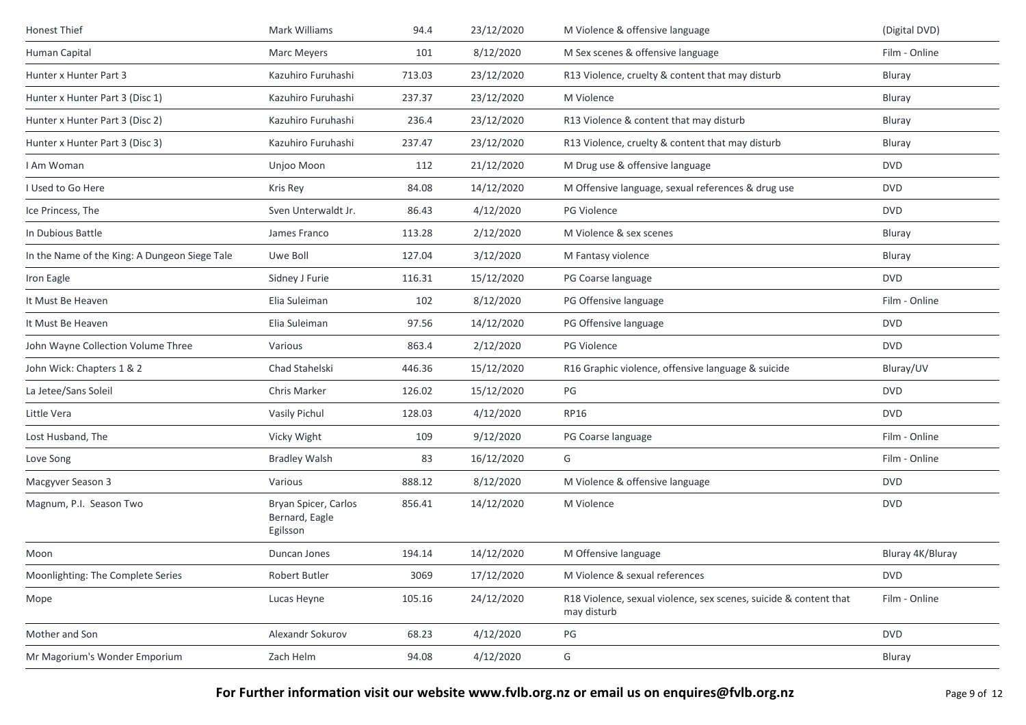| Honest Thief                                  | Mark Williams                                      | 94.4   | 23/12/2020 | M Violence & offensive language                                                  | (Digital DVD)    |
|-----------------------------------------------|----------------------------------------------------|--------|------------|----------------------------------------------------------------------------------|------------------|
| Human Capital                                 | Marc Meyers                                        | 101    | 8/12/2020  | M Sex scenes & offensive language                                                | Film - Online    |
| Hunter x Hunter Part 3                        | Kazuhiro Furuhashi                                 | 713.03 | 23/12/2020 | R13 Violence, cruelty & content that may disturb                                 | Bluray           |
| Hunter x Hunter Part 3 (Disc 1)               | Kazuhiro Furuhashi                                 | 237.37 | 23/12/2020 | M Violence                                                                       | Bluray           |
| Hunter x Hunter Part 3 (Disc 2)               | Kazuhiro Furuhashi                                 | 236.4  | 23/12/2020 | R13 Violence & content that may disturb                                          | Bluray           |
| Hunter x Hunter Part 3 (Disc 3)               | Kazuhiro Furuhashi                                 | 237.47 | 23/12/2020 | R13 Violence, cruelty & content that may disturb                                 | Bluray           |
| I Am Woman                                    | Unjoo Moon                                         | 112    | 21/12/2020 | M Drug use & offensive language                                                  | <b>DVD</b>       |
| I Used to Go Here                             | Kris Rey                                           | 84.08  | 14/12/2020 | M Offensive language, sexual references & drug use                               | <b>DVD</b>       |
| Ice Princess, The                             | Sven Unterwaldt Jr.                                | 86.43  | 4/12/2020  | PG Violence                                                                      | <b>DVD</b>       |
| In Dubious Battle                             | James Franco                                       | 113.28 | 2/12/2020  | M Violence & sex scenes                                                          | Bluray           |
| In the Name of the King: A Dungeon Siege Tale | Uwe Boll                                           | 127.04 | 3/12/2020  | M Fantasy violence                                                               | Bluray           |
| Iron Eagle                                    | Sidney J Furie                                     | 116.31 | 15/12/2020 | PG Coarse language                                                               | <b>DVD</b>       |
| It Must Be Heaven                             | Elia Suleiman                                      | 102    | 8/12/2020  | PG Offensive language                                                            | Film - Online    |
| It Must Be Heaven                             | Elia Suleiman                                      | 97.56  | 14/12/2020 | PG Offensive language                                                            | <b>DVD</b>       |
| John Wayne Collection Volume Three            | Various                                            | 863.4  | 2/12/2020  | PG Violence                                                                      | <b>DVD</b>       |
| John Wick: Chapters 1 & 2                     | Chad Stahelski                                     | 446.36 | 15/12/2020 | R16 Graphic violence, offensive language & suicide                               | Bluray/UV        |
| La Jetee/Sans Soleil                          | Chris Marker                                       | 126.02 | 15/12/2020 | PG                                                                               | <b>DVD</b>       |
| Little Vera                                   | Vasily Pichul                                      | 128.03 | 4/12/2020  | <b>RP16</b>                                                                      | <b>DVD</b>       |
| Lost Husband, The                             | Vicky Wight                                        | 109    | 9/12/2020  | PG Coarse language                                                               | Film - Online    |
| Love Song                                     | <b>Bradley Walsh</b>                               | 83     | 16/12/2020 | G                                                                                | Film - Online    |
| Macgyver Season 3                             | Various                                            | 888.12 | 8/12/2020  | M Violence & offensive language                                                  | <b>DVD</b>       |
| Magnum, P.I. Season Two                       | Bryan Spicer, Carlos<br>Bernard, Eagle<br>Egilsson | 856.41 | 14/12/2020 | M Violence                                                                       | <b>DVD</b>       |
| Moon                                          | Duncan Jones                                       | 194.14 | 14/12/2020 | M Offensive language                                                             | Bluray 4K/Bluray |
| Moonlighting: The Complete Series             | Robert Butler                                      | 3069   | 17/12/2020 | M Violence & sexual references                                                   | <b>DVD</b>       |
| Mope                                          | Lucas Heyne                                        | 105.16 | 24/12/2020 | R18 Violence, sexual violence, sex scenes, suicide & content that<br>may disturb | Film - Online    |
| Mother and Son                                | Alexandr Sokurov                                   | 68.23  | 4/12/2020  | PG                                                                               | <b>DVD</b>       |
| Mr Magorium's Wonder Emporium                 | Zach Helm                                          | 94.08  | 4/12/2020  | G                                                                                | Bluray           |
|                                               |                                                    |        |            |                                                                                  |                  |

For Further information visit our website www.fvlb.org.nz or email us on enquires@fvlb.org.nz<br>Page 9 of 12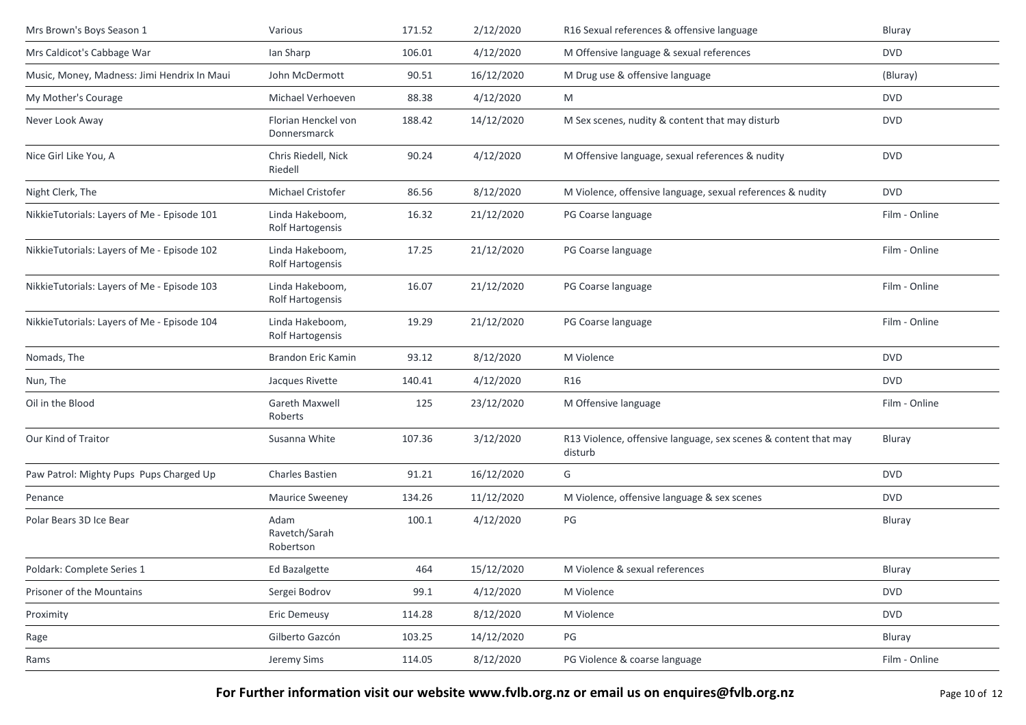| Mrs Brown's Boys Season 1                   | Various                                    | 171.52 | 2/12/2020  | R16 Sexual references & offensive language                                 | Bluray        |
|---------------------------------------------|--------------------------------------------|--------|------------|----------------------------------------------------------------------------|---------------|
| Mrs Caldicot's Cabbage War                  | Ian Sharp                                  | 106.01 | 4/12/2020  | M Offensive language & sexual references                                   | <b>DVD</b>    |
| Music, Money, Madness: Jimi Hendrix In Maui | John McDermott                             | 90.51  | 16/12/2020 | M Drug use & offensive language                                            | (Bluray)      |
| My Mother's Courage                         | Michael Verhoeven                          | 88.38  | 4/12/2020  | M                                                                          | <b>DVD</b>    |
| Never Look Away                             | Florian Henckel von<br>Donnersmarck        | 188.42 | 14/12/2020 | M Sex scenes, nudity & content that may disturb                            | <b>DVD</b>    |
| Nice Girl Like You, A                       | Chris Riedell, Nick<br>Riedell             | 90.24  | 4/12/2020  | M Offensive language, sexual references & nudity                           | <b>DVD</b>    |
| Night Clerk, The                            | Michael Cristofer                          | 86.56  | 8/12/2020  | M Violence, offensive language, sexual references & nudity                 | <b>DVD</b>    |
| NikkieTutorials: Layers of Me - Episode 101 | Linda Hakeboom,<br>Rolf Hartogensis        | 16.32  | 21/12/2020 | PG Coarse language                                                         | Film - Online |
| NikkieTutorials: Layers of Me - Episode 102 | Linda Hakeboom,<br>Rolf Hartogensis        | 17.25  | 21/12/2020 | PG Coarse language                                                         | Film - Online |
| NikkieTutorials: Layers of Me - Episode 103 | Linda Hakeboom,<br>Rolf Hartogensis        | 16.07  | 21/12/2020 | PG Coarse language                                                         | Film - Online |
| NikkieTutorials: Layers of Me - Episode 104 | Linda Hakeboom,<br><b>Rolf Hartogensis</b> | 19.29  | 21/12/2020 | PG Coarse language                                                         | Film - Online |
| Nomads, The                                 | Brandon Eric Kamin                         | 93.12  | 8/12/2020  | M Violence                                                                 | <b>DVD</b>    |
| Nun, The                                    | Jacques Rivette                            | 140.41 | 4/12/2020  | R16                                                                        | <b>DVD</b>    |
| Oil in the Blood                            | Gareth Maxwell<br>Roberts                  | 125    | 23/12/2020 | M Offensive language                                                       | Film - Online |
| Our Kind of Traitor                         | Susanna White                              | 107.36 | 3/12/2020  | R13 Violence, offensive language, sex scenes & content that may<br>disturb | Bluray        |
| Paw Patrol: Mighty Pups Pups Charged Up     | <b>Charles Bastien</b>                     | 91.21  | 16/12/2020 | G                                                                          | <b>DVD</b>    |
| Penance                                     | <b>Maurice Sweeney</b>                     | 134.26 | 11/12/2020 | M Violence, offensive language & sex scenes                                | <b>DVD</b>    |
| Polar Bears 3D Ice Bear                     | Adam<br>Ravetch/Sarah<br>Robertson         | 100.1  | 4/12/2020  | PG                                                                         | Bluray        |
| Poldark: Complete Series 1                  | Ed Bazalgette                              | 464    | 15/12/2020 | M Violence & sexual references                                             | Bluray        |
| Prisoner of the Mountains                   | Sergei Bodrov                              | 99.1   | 4/12/2020  | M Violence                                                                 | <b>DVD</b>    |
| Proximity                                   | <b>Eric Demeusy</b>                        | 114.28 | 8/12/2020  | M Violence                                                                 | <b>DVD</b>    |
| Rage                                        | Gilberto Gazcón                            | 103.25 | 14/12/2020 | PG                                                                         | Bluray        |
| Rams                                        | Jeremy Sims                                | 114.05 | 8/12/2020  | PG Violence & coarse language                                              | Film - Online |

**For Further information visit our website www.fvlb.org.nz or email us on enquires@fvlb.org.nz** Page 10 of 12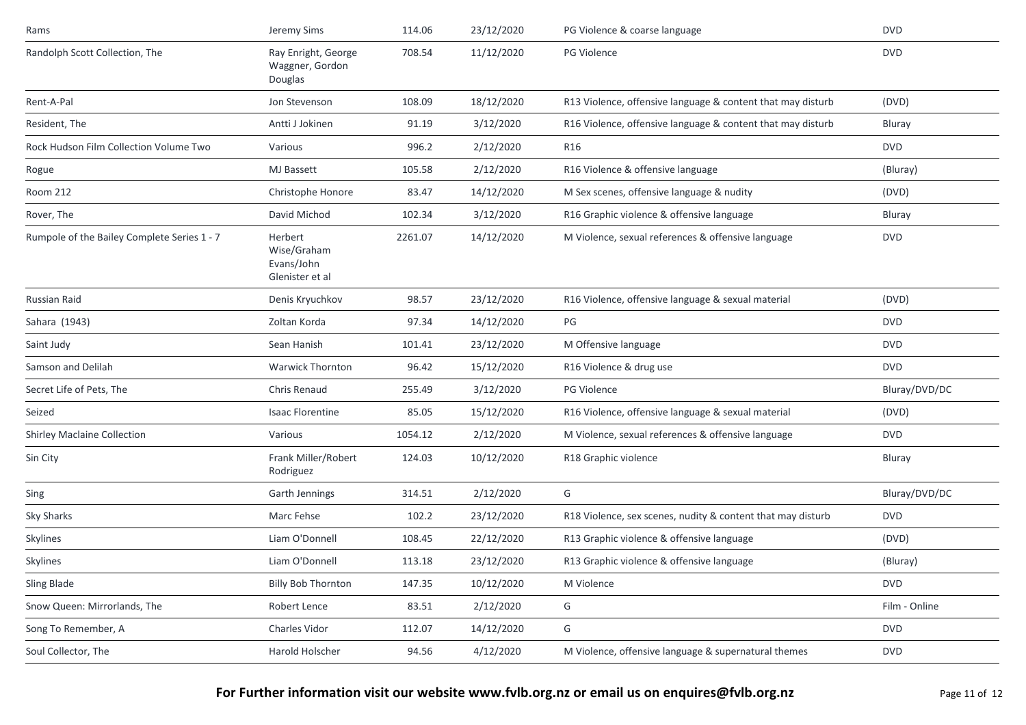| Rams                                        | Jeremy Sims                                             | 114.06  | 23/12/2020 | PG Violence & coarse language                               | <b>DVD</b>    |
|---------------------------------------------|---------------------------------------------------------|---------|------------|-------------------------------------------------------------|---------------|
| Randolph Scott Collection, The              | Ray Enright, George<br>Waggner, Gordon<br>Douglas       | 708.54  | 11/12/2020 | PG Violence                                                 | <b>DVD</b>    |
| Rent-A-Pal                                  | Jon Stevenson                                           | 108.09  | 18/12/2020 | R13 Violence, offensive language & content that may disturb | (DVD)         |
| Resident, The                               | Antti J Jokinen                                         | 91.19   | 3/12/2020  | R16 Violence, offensive language & content that may disturb | Bluray        |
| Rock Hudson Film Collection Volume Two      | Various                                                 | 996.2   | 2/12/2020  | R16                                                         | <b>DVD</b>    |
| Rogue                                       | <b>MJ</b> Bassett                                       | 105.58  | 2/12/2020  | R16 Violence & offensive language                           | (Bluray)      |
| Room 212                                    | Christophe Honore                                       | 83.47   | 14/12/2020 | M Sex scenes, offensive language & nudity                   | (DVD)         |
| Rover, The                                  | David Michod                                            | 102.34  | 3/12/2020  | R16 Graphic violence & offensive language                   | Bluray        |
| Rumpole of the Bailey Complete Series 1 - 7 | Herbert<br>Wise/Graham<br>Evans/John<br>Glenister et al | 2261.07 | 14/12/2020 | M Violence, sexual references & offensive language          | <b>DVD</b>    |
| Russian Raid                                | Denis Kryuchkov                                         | 98.57   | 23/12/2020 | R16 Violence, offensive language & sexual material          | (DVD)         |
| Sahara (1943)                               | Zoltan Korda                                            | 97.34   | 14/12/2020 | PG                                                          | <b>DVD</b>    |
| Saint Judy                                  | Sean Hanish                                             | 101.41  | 23/12/2020 | M Offensive language                                        | <b>DVD</b>    |
| Samson and Delilah                          | <b>Warwick Thornton</b>                                 | 96.42   | 15/12/2020 | R16 Violence & drug use                                     | <b>DVD</b>    |
| Secret Life of Pets, The                    | Chris Renaud                                            | 255.49  | 3/12/2020  | <b>PG Violence</b>                                          | Bluray/DVD/DC |
| Seized                                      | <b>Isaac Florentine</b>                                 | 85.05   | 15/12/2020 | R16 Violence, offensive language & sexual material          | (DVD)         |
| <b>Shirley Maclaine Collection</b>          | Various                                                 | 1054.12 | 2/12/2020  | M Violence, sexual references & offensive language          | <b>DVD</b>    |
| Sin City                                    | Frank Miller/Robert<br>Rodriguez                        | 124.03  | 10/12/2020 | R18 Graphic violence                                        | Bluray        |
| Sing                                        | Garth Jennings                                          | 314.51  | 2/12/2020  | G                                                           | Bluray/DVD/DC |
| Sky Sharks                                  | Marc Fehse                                              | 102.2   | 23/12/2020 | R18 Violence, sex scenes, nudity & content that may disturb | <b>DVD</b>    |
| Skylines                                    | Liam O'Donnell                                          | 108.45  | 22/12/2020 | R13 Graphic violence & offensive language                   | (DVD)         |
| Skylines                                    | Liam O'Donnell                                          | 113.18  | 23/12/2020 | R13 Graphic violence & offensive language                   | (Bluray)      |
| Sling Blade                                 | <b>Billy Bob Thornton</b>                               | 147.35  | 10/12/2020 | M Violence                                                  | <b>DVD</b>    |
| Snow Queen: Mirrorlands, The                | Robert Lence                                            | 83.51   | 2/12/2020  | G                                                           | Film - Online |
| Song To Remember, A                         | Charles Vidor                                           | 112.07  | 14/12/2020 | G                                                           | <b>DVD</b>    |
| Soul Collector, The                         | Harold Holscher                                         | 94.56   | 4/12/2020  | M Violence, offensive language & supernatural themes        | <b>DVD</b>    |